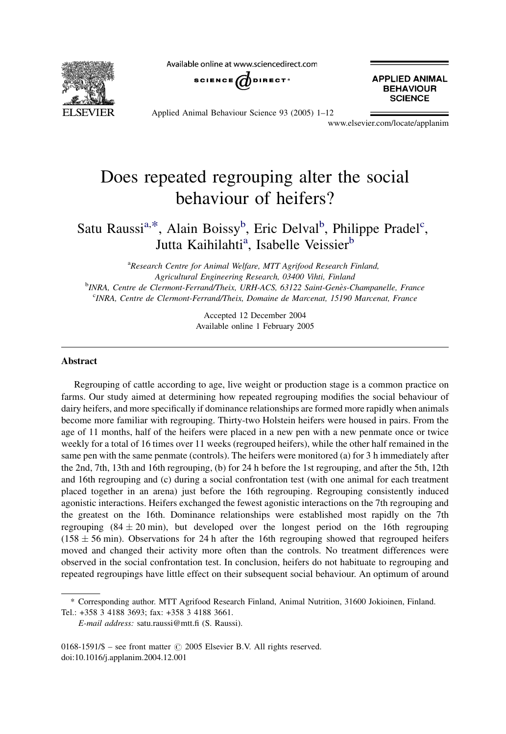Available online at www.sciencedirect.com



SCIENCE  $\bigcirc$  DIRECT<sup>®</sup>

**APPLIED ANIMAL BEHAVIOUR SCIENCE** 

Applied Animal Behaviour Science 93 (2005) 1–12

www.elsevier.com/locate/applanim

# Does repeated regrouping alter the social behaviour of heifers?

## Satu Raussi<sup>a,\*</sup>, Alain Boissy<sup>b</sup>, Eric Delval<sup>b</sup>, Philippe Pradel<sup>c</sup>, Jutta Kaihilahti<sup>a</sup>, Isabelle Veissier<sup>b</sup>

<sup>a</sup>Research Centre for Animal Welfare, MTT Agrifood Research Finland, Agricultural Engineering Research, 03400 Vihti, Finland <sup>b</sup>INRA, Centre de Clermont-Ferrand/Theix, URH-ACS, 63122 Saint-Genès-Champanelle, France c INRA, Centre de Clermont-Ferrand/Theix, Domaine de Marcenat, 15190 Marcenat, France

> Accepted 12 December 2004 Available online 1 February 2005

#### Abstract

Regrouping of cattle according to age, live weight or production stage is a common practice on farms. Our study aimed at determining how repeated regrouping modifies the social behaviour of dairy heifers, and more specifically if dominance relationships are formed more rapidly when animals become more familiar with regrouping. Thirty-two Holstein heifers were housed in pairs. From the age of 11 months, half of the heifers were placed in a new pen with a new penmate once or twice weekly for a total of 16 times over 11 weeks (regrouped heifers), while the other half remained in the same pen with the same penmate (controls). The heifers were monitored (a) for 3 h immediately after the 2nd, 7th, 13th and 16th regrouping, (b) for 24 h before the 1st regrouping, and after the 5th, 12th and 16th regrouping and (c) during a social confrontation test (with one animal for each treatment placed together in an arena) just before the 16th regrouping. Regrouping consistently induced agonistic interactions. Heifers exchanged the fewest agonistic interactions on the 7th regrouping and the greatest on the 16th. Dominance relationships were established most rapidly on the 7th regrouping  $(84 \pm 20 \text{ min})$ , but developed over the longest period on the 16th regrouping  $(158 \pm 56 \text{ min})$ . Observations for 24 h after the 16th regrouping showed that regrouped heifers moved and changed their activity more often than the controls. No treatment differences were observed in the social confrontation test. In conclusion, heifers do not habituate to regrouping and repeated regroupings have little effect on their subsequent social behaviour. An optimum of around

<sup>\*</sup> Corresponding author. MTT Agrifood Research Finland, Animal Nutrition, 31600 Jokioinen, Finland. Tel.: +358 3 4188 3693; fax: +358 3 4188 3661.

E-mail address: satu.raussi@mtt.fi (S. Raussi).

 $0168-1591/\$$  – see front matter  $\odot$  2005 Elsevier B.V. All rights reserved. doi:10.1016/j.applanim.2004.12.001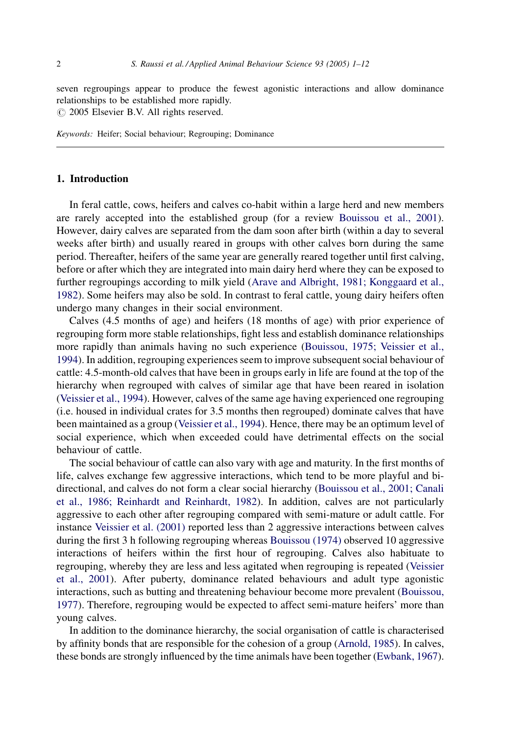seven regroupings appear to produce the fewest agonistic interactions and allow dominance relationships to be established more rapidly.

 $\circ$  2005 Elsevier B.V. All rights reserved.

Keywords: Heifer; Social behaviour; Regrouping; Dominance

## 1. Introduction

In feral cattle, cows, heifers and calves co-habit within a large herd and new members are rarely accepted into the established group (for a review [Bouissou et al., 2001](#page-11-0)). However, dairy calves are separated from the dam soon after birth (within a day to several weeks after birth) and usually reared in groups with other calves born during the same period. Thereafter, heifers of the same year are generally reared together until first calving, before or after which they are integrated into main dairy herd where they can be exposed to further regroupings according to milk yield ([Arave and Albright, 1981; Konggaard et al.,](#page-11-0) [1982](#page-11-0)). Some heifers may also be sold. In contrast to feral cattle, young dairy heifers often undergo many changes in their social environment.

Calves (4.5 months of age) and heifers (18 months of age) with prior experience of regrouping form more stable relationships, fight less and establish dominance relationships more rapidly than animals having no such experience [\(Bouissou, 1975; Veissier et al.,](#page-11-0) [1994](#page-11-0)). In addition, regrouping experiences seem to improve subsequent social behaviour of cattle: 4.5-month-old calves that have been in groups early in life are found at the top of the hierarchy when regrouped with calves of similar age that have been reared in isolation ([Veissier et al., 1994\)](#page-11-0). However, calves of the same age having experienced one regrouping (i.e. housed in individual crates for 3.5 months then regrouped) dominate calves that have been maintained as a group ([Veissier et al., 1994\)](#page-11-0). Hence, there may be an optimum level of social experience, which when exceeded could have detrimental effects on the social behaviour of cattle.

The social behaviour of cattle can also vary with age and maturity. In the first months of life, calves exchange few aggressive interactions, which tend to be more playful and bidirectional, and calves do not form a clear social hierarchy ([Bouissou et al., 2001; Canali](#page-11-0) [et al., 1986; Reinhardt and Reinhardt, 1982\)](#page-11-0). In addition, calves are not particularly aggressive to each other after regrouping compared with semi-mature or adult cattle. For instance [Veissier et al. \(2001\)](#page-11-0) reported less than 2 aggressive interactions between calves during the first 3 h following regrouping whereas [Bouissou \(1974\)](#page-11-0) observed 10 aggressive interactions of heifers within the first hour of regrouping. Calves also habituate to regrouping, whereby they are less and less agitated when regrouping is repeated [\(Veissier](#page-11-0) [et al., 2001](#page-11-0)). After puberty, dominance related behaviours and adult type agonistic interactions, such as butting and threatening behaviour become more prevalent [\(Bouissou,](#page-11-0) [1977](#page-11-0)). Therefore, regrouping would be expected to affect semi-mature heifers' more than young calves.

In addition to the dominance hierarchy, the social organisation of cattle is characterised by affinity bonds that are responsible for the cohesion of a group ([Arnold, 1985](#page-11-0)). In calves, these bonds are strongly influenced by the time animals have been together ([Ewbank, 1967](#page-11-0)).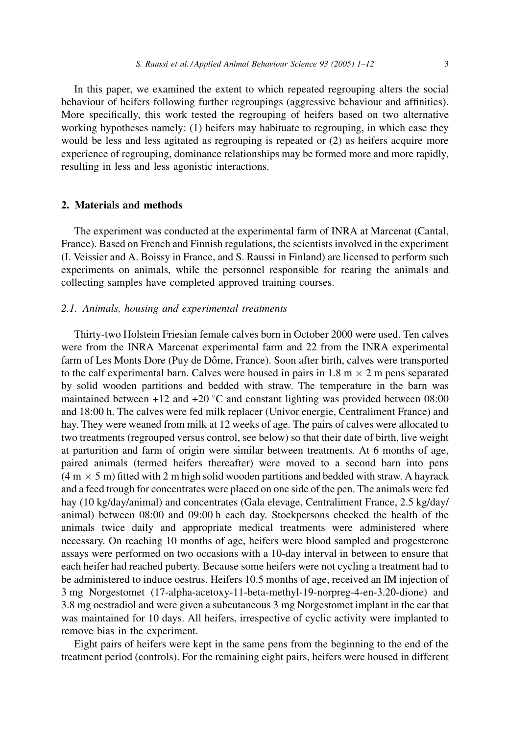In this paper, we examined the extent to which repeated regrouping alters the social behaviour of heifers following further regroupings (aggressive behaviour and affinities). More specifically, this work tested the regrouping of heifers based on two alternative working hypotheses namely: (1) heifers may habituate to regrouping, in which case they would be less and less agitated as regrouping is repeated or (2) as heifers acquire more experience of regrouping, dominance relationships may be formed more and more rapidly, resulting in less and less agonistic interactions.

## 2. Materials and methods

The experiment was conducted at the experimental farm of INRA at Marcenat (Cantal, France). Based on French and Finnish regulations, the scientists involved in the experiment (I. Veissier and A. Boissy in France, and S. Raussi in Finland) are licensed to perform such experiments on animals, while the personnel responsible for rearing the animals and collecting samples have completed approved training courses.

#### 2.1. Animals, housing and experimental treatments

Thirty-two Holstein Friesian female calves born in October 2000 were used. Ten calves were from the INRA Marcenat experimental farm and 22 from the INRA experimental farm of Les Monts Dore (Puy de Dôme, France). Soon after birth, calves were transported to the calf experimental barn. Calves were housed in pairs in  $1.8 \text{ m} \times 2 \text{ m}$  pens separated by solid wooden partitions and bedded with straw. The temperature in the barn was maintained between  $+12$  and  $+20$  °C and constant lighting was provided between 08:00 and 18:00 h. The calves were fed milk replacer (Univor energie, Centraliment France) and hay. They were weaned from milk at 12 weeks of age. The pairs of calves were allocated to two treatments (regrouped versus control, see below) so that their date of birth, live weight at parturition and farm of origin were similar between treatments. At 6 months of age, paired animals (termed heifers thereafter) were moved to a second barn into pens  $(4 \text{ m} \times 5 \text{ m})$  fitted with 2 m high solid wooden partitions and bedded with straw. A hayrack and a feed trough for concentrates were placed on one side of the pen. The animals were fed hay (10 kg/day/animal) and concentrates (Gala elevage, Centraliment France, 2.5 kg/day/ animal) between 08:00 and 09:00 h each day. Stockpersons checked the health of the animals twice daily and appropriate medical treatments were administered where necessary. On reaching 10 months of age, heifers were blood sampled and progesterone assays were performed on two occasions with a 10-day interval in between to ensure that each heifer had reached puberty. Because some heifers were not cycling a treatment had to be administered to induce oestrus. Heifers 10.5 months of age, received an IM injection of 3 mg Norgestomet (17-alpha-acetoxy-11-beta-methyl-19-norpreg-4-en-3.20-dione) and 3.8 mg oestradiol and were given a subcutaneous 3 mg Norgestomet implant in the ear that was maintained for 10 days. All heifers, irrespective of cyclic activity were implanted to remove bias in the experiment.

Eight pairs of heifers were kept in the same pens from the beginning to the end of the treatment period (controls). For the remaining eight pairs, heifers were housed in different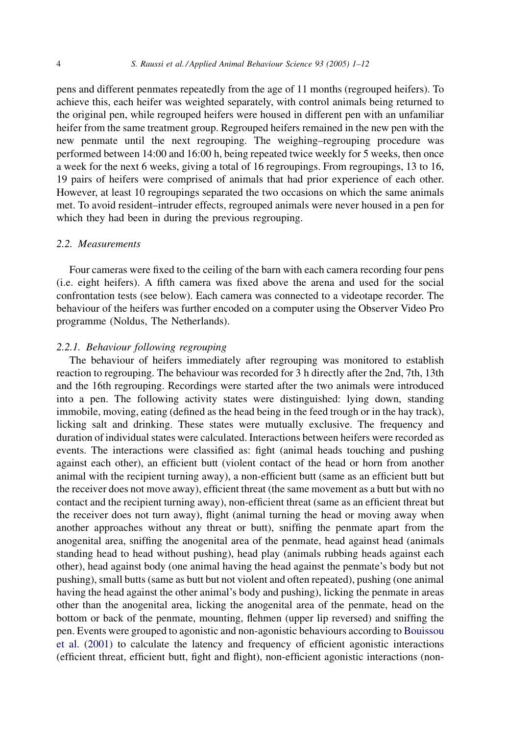<span id="page-3-0"></span>pens and different penmates repeatedly from the age of 11 months (regrouped heifers). To achieve this, each heifer was weighted separately, with control animals being returned to the original pen, while regrouped heifers were housed in different pen with an unfamiliar heifer from the same treatment group. Regrouped heifers remained in the new pen with the new penmate until the next regrouping. The weighing–regrouping procedure was performed between 14:00 and 16:00 h, being repeated twice weekly for 5 weeks, then once a week for the next 6 weeks, giving a total of 16 regroupings. From regroupings, 13 to 16, 19 pairs of heifers were comprised of animals that had prior experience of each other. However, at least 10 regroupings separated the two occasions on which the same animals met. To avoid resident–intruder effects, regrouped animals were never housed in a pen for which they had been in during the previous regrouping.

## 2.2. Measurements

Four cameras were fixed to the ceiling of the barn with each camera recording four pens (i.e. eight heifers). A fifth camera was fixed above the arena and used for the social confrontation tests (see below). Each camera was connected to a videotape recorder. The behaviour of the heifers was further encoded on a computer using the Observer Video Pro programme (Noldus, The Netherlands).

#### 2.2.1. Behaviour following regrouping

The behaviour of heifers immediately after regrouping was monitored to establish reaction to regrouping. The behaviour was recorded for 3 h directly after the 2nd, 7th, 13th and the 16th regrouping. Recordings were started after the two animals were introduced into a pen. The following activity states were distinguished: lying down, standing immobile, moving, eating (defined as the head being in the feed trough or in the hay track), licking salt and drinking. These states were mutually exclusive. The frequency and duration of individual states were calculated. Interactions between heifers were recorded as events. The interactions were classified as: fight (animal heads touching and pushing against each other), an efficient butt (violent contact of the head or horn from another animal with the recipient turning away), a non-efficient butt (same as an efficient butt but the receiver does not move away), efficient threat (the same movement as a butt but with no contact and the recipient turning away), non-efficient threat (same as an efficient threat but the receiver does not turn away), flight (animal turning the head or moving away when another approaches without any threat or butt), sniffing the penmate apart from the anogenital area, sniffing the anogenital area of the penmate, head against head (animals standing head to head without pushing), head play (animals rubbing heads against each other), head against body (one animal having the head against the penmate's body but not pushing), small butts (same as butt but not violent and often repeated), pushing (one animal having the head against the other animal's body and pushing), licking the penmate in areas other than the anogenital area, licking the anogenital area of the penmate, head on the bottom or back of the penmate, mounting, flehmen (upper lip reversed) and sniffing the pen. Events were grouped to agonistic and non-agonistic behaviours according to [Bouissou](#page-11-0) [et al. \(2001\)](#page-11-0) to calculate the latency and frequency of efficient agonistic interactions (efficient threat, efficient butt, fight and flight), non-efficient agonistic interactions (non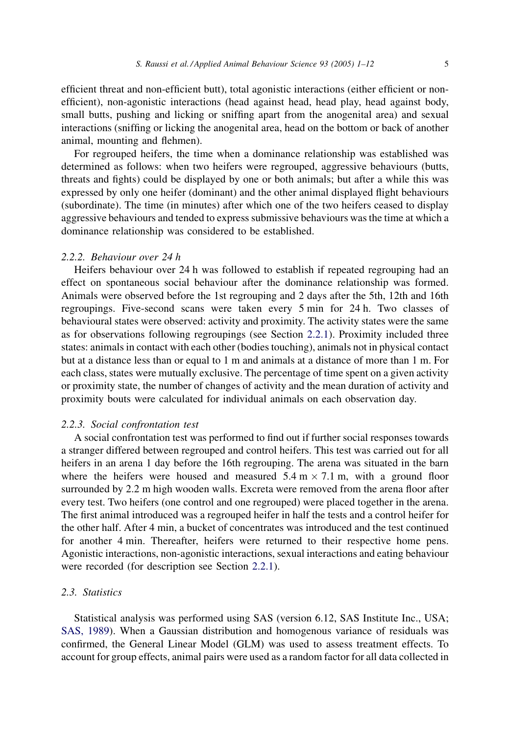efficient threat and non-efficient butt), total agonistic interactions (either efficient or nonefficient), non-agonistic interactions (head against head, head play, head against body, small butts, pushing and licking or sniffing apart from the anogenital area) and sexual interactions (sniffing or licking the anogenital area, head on the bottom or back of another animal, mounting and flehmen).

For regrouped heifers, the time when a dominance relationship was established was determined as follows: when two heifers were regrouped, aggressive behaviours (butts, threats and fights) could be displayed by one or both animals; but after a while this was expressed by only one heifer (dominant) and the other animal displayed flight behaviours (subordinate). The time (in minutes) after which one of the two heifers ceased to display aggressive behaviours and tended to express submissive behaviours was the time at which a dominance relationship was considered to be established.

## 2.2.2. Behaviour over 24 h

Heifers behaviour over 24 h was followed to establish if repeated regrouping had an effect on spontaneous social behaviour after the dominance relationship was formed. Animals were observed before the 1st regrouping and 2 days after the 5th, 12th and 16th regroupings. Five-second scans were taken every 5 min for 24 h. Two classes of behavioural states were observed: activity and proximity. The activity states were the same as for observations following regroupings (see Section [2.2.1](#page-3-0)). Proximity included three states: animals in contact with each other (bodies touching), animals not in physical contact but at a distance less than or equal to 1 m and animals at a distance of more than 1 m. For each class, states were mutually exclusive. The percentage of time spent on a given activity or proximity state, the number of changes of activity and the mean duration of activity and proximity bouts were calculated for individual animals on each observation day.

#### 2.2.3. Social confrontation test

A social confrontation test was performed to find out if further social responses towards a stranger differed between regrouped and control heifers. This test was carried out for all heifers in an arena 1 day before the 16th regrouping. The arena was situated in the barn where the heifers were housed and measured  $5.4 \text{ m} \times 7.1 \text{ m}$ , with a ground floor surrounded by 2.2 m high wooden walls. Excreta were removed from the arena floor after every test. Two heifers (one control and one regrouped) were placed together in the arena. The first animal introduced was a regrouped heifer in half the tests and a control heifer for the other half. After 4 min, a bucket of concentrates was introduced and the test continued for another 4 min. Thereafter, heifers were returned to their respective home pens. Agonistic interactions, non-agonistic interactions, sexual interactions and eating behaviour were recorded (for description see Section [2.2.1](#page-3-0)).

## 2.3. Statistics

Statistical analysis was performed using SAS (version 6.12, SAS Institute Inc., USA; [SAS, 1989](#page-11-0)). When a Gaussian distribution and homogenous variance of residuals was confirmed, the General Linear Model (GLM) was used to assess treatment effects. To account for group effects, animal pairs were used as a random factor for all data collected in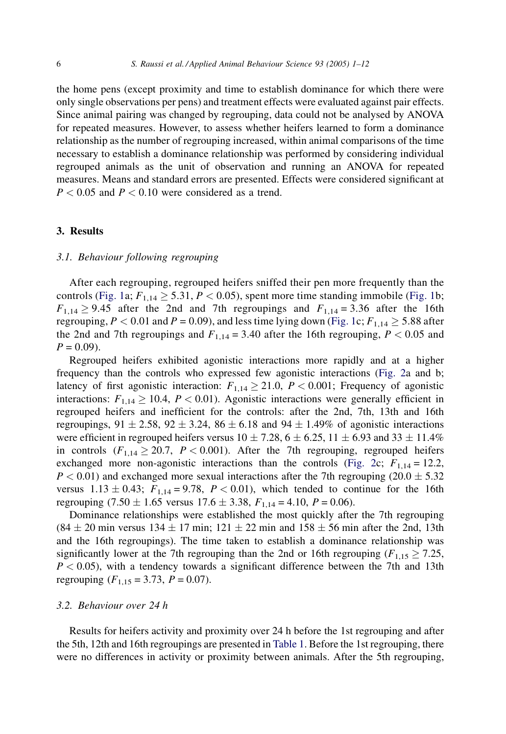the home pens (except proximity and time to establish dominance for which there were only single observations per pens) and treatment effects were evaluated against pair effects. Since animal pairing was changed by regrouping, data could not be analysed by ANOVA for repeated measures. However, to assess whether heifers learned to form a dominance relationship as the number of regrouping increased, within animal comparisons of the time necessary to establish a dominance relationship was performed by considering individual regrouped animals as the unit of observation and running an ANOVA for repeated measures. Means and standard errors are presented. Effects were considered significant at  $P < 0.05$  and  $P < 0.10$  were considered as a trend.

## 3. Results

#### 3.1. Behaviour following regrouping

After each regrouping, regrouped heifers sniffed their pen more frequently than the controls ([Fig. 1a](#page-6-0);  $F_{1,14} \geq 5.31$ ,  $P < 0.05$ ), spent more time standing immobile ([Fig. 1](#page-6-0)b;  $F_{1,14} \ge 9.45$  after the 2nd and 7th regroupings and  $F_{1,14} = 3.36$  after the 16th regrouping,  $P < 0.01$  and  $P = 0.09$ ), and less time lying down [\(Fig. 1c](#page-6-0);  $F_{1,14} \ge 5.88$  after the 2nd and 7th regroupings and  $F_{1,14} = 3.40$  after the 16th regrouping,  $P < 0.05$  and  $P = 0.09$ ).

Regrouped heifers exhibited agonistic interactions more rapidly and at a higher frequency than the controls who expressed few agonistic interactions [\(Fig. 2a](#page-7-0) and b; latency of first agonistic interaction:  $F_{1,14} \geq 21.0$ ,  $P < 0.001$ ; Frequency of agonistic interactions:  $F_{1,14} \ge 10.4$ ,  $P < 0.01$ ). Agonistic interactions were generally efficient in regrouped heifers and inefficient for the controls: after the 2nd, 7th, 13th and 16th regroupings,  $91 \pm 2.58$ ,  $92 \pm 3.24$ ,  $86 \pm 6.18$  and  $94 \pm 1.49\%$  of agonistic interactions were efficient in regrouped heifers versus  $10 \pm 7.28$ ,  $6 \pm 6.25$ ,  $11 \pm 6.93$  and  $33 \pm 11.4\%$ in controls  $(F_{1,14} \ge 20.7, P < 0.001)$ . After the 7th regrouping, regrouped heifers exchanged more non-agonistic interactions than the controls ([Fig. 2](#page-7-0)c;  $F_{1,14} = 12.2$ ,  $P < 0.01$ ) and exchanged more sexual interactions after the 7th regrouping (20.0  $\pm$  5.32 versus  $1.13 \pm 0.43$ ;  $F_{1,14} = 9.78$ ,  $P < 0.01$ ), which tended to continue for the 16th regrouping  $(7.50 \pm 1.65$  versus  $17.6 \pm 3.38$ ,  $F_{1,14} = 4.10$ ,  $P = 0.06$ ).

Dominance relationships were established the most quickly after the 7th regrouping  $(84 \pm 20 \text{ min} \text{ versus } 134 \pm 17 \text{ min}; 121 \pm 22 \text{ min} \text{ and } 158 \pm 56 \text{ min} \text{ after the } 2 \text{nd}, 13 \text{th}$ and the 16th regroupings). The time taken to establish a dominance relationship was significantly lower at the 7th regrouping than the 2nd or 16th regrouping ( $F_{1,15} \ge 7.25$ ,  $P < 0.05$ ), with a tendency towards a significant difference between the 7th and 13th regrouping  $(F_{1,15} = 3.73, P = 0.07)$ .

## 3.2. Behaviour over 24 h

Results for heifers activity and proximity over 24 h before the 1st regrouping and after the 5th, 12th and 16th regroupings are presented in [Table 1.](#page-8-0) Before the 1st regrouping, there were no differences in activity or proximity between animals. After the 5th regrouping,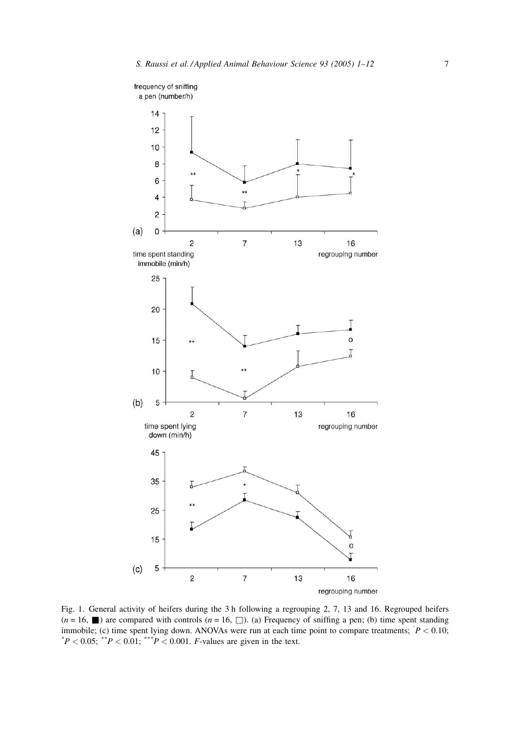<span id="page-6-0"></span>

Fig. 1. General activity of heifers during the 3 h following a regrouping 2, 7, 13 and 16. Regrouped heifers  $(n = 16, \blacksquare)$  are compared with controls  $(n = 16, \square)$ . (a) Frequency of sniffing a pen; (b) time spent standing immobile; (c) time spent lying down. ANOVAs were run at each time point to compare treatments;  $P < 0.10$ ;<br>\*P < 0.05; \*\*P < 0.01; \*\*\*P < 0.001. E values are given in the text  $^{*}P < 0.05$ ;  $^{**}P < 0.01$ ;  $^{***}P < 0.001$ . *F*-values are given in the text.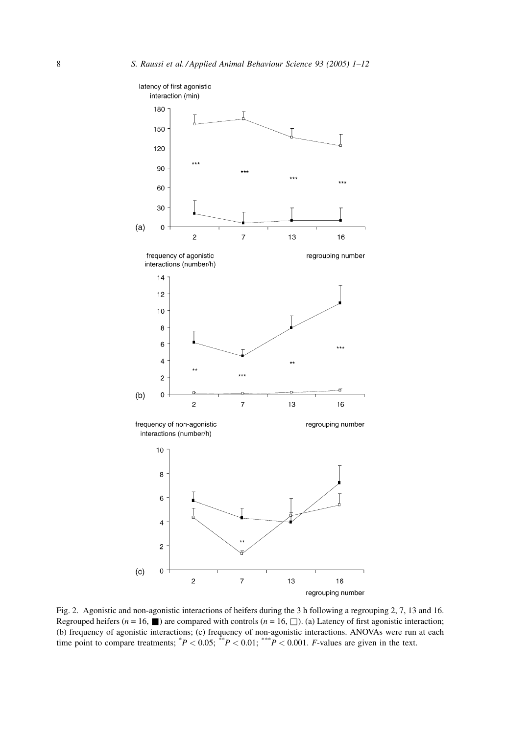<span id="page-7-0"></span>

Fig. 2. Agonistic and non-agonistic interactions of heifers during the 3 h following a regrouping 2, 7, 13 and 16. Regrouped heifers ( $n = 16$ ,  $\blacksquare$ ) are compared with controls ( $n = 16$ ,  $\square$ ). (a) Latency of first agonistic interaction; (b) frequency of agonistic interactions; (c) frequency of non-agonistic interactions. ANOVAs were run at each time point to compare treatments;  ${}^{*}P < 0.05$ ;  ${}^{*}P < 0.01$ ;  ${}^{*}P < 0.001$ . *F*-values are given in the tex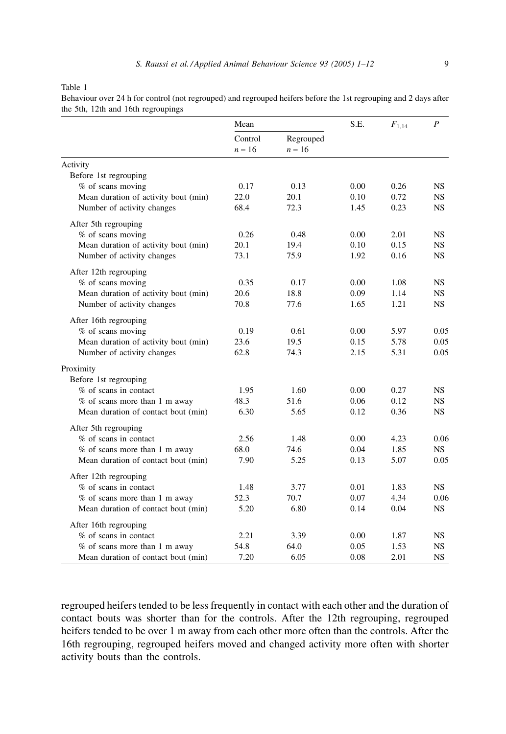<span id="page-8-0"></span>Table 1

|                                      | Mean              |                       | S.E. | $F_{1,14}$ | $\overline{P}$ |
|--------------------------------------|-------------------|-----------------------|------|------------|----------------|
|                                      | Control<br>$n=16$ | Regrouped<br>$n = 16$ |      |            |                |
| Activity                             |                   |                       |      |            |                |
| Before 1st regrouping                |                   |                       |      |            |                |
| % of scans moving                    | 0.17              | 0.13                  | 0.00 | 0.26       | NS.            |
| Mean duration of activity bout (min) | 22.0              | 20.1                  | 0.10 | 0.72       | NS.            |
| Number of activity changes           | 68.4              | 72.3                  | 1.45 | 0.23       | NS.            |
| After 5th regrouping                 |                   |                       |      |            |                |
| % of scans moving                    | 0.26              | 0.48                  | 0.00 | 2.01       | NS.            |
| Mean duration of activity bout (min) | 20.1              | 19.4                  | 0.10 | 0.15       | NS.            |
| Number of activity changes           | 73.1              | 75.9                  | 1.92 | 0.16       | NS.            |
| After 12th regrouping                |                   |                       |      |            |                |
| % of scans moving                    | 0.35              | 0.17                  | 0.00 | 1.08       | NS.            |
| Mean duration of activity bout (min) | 20.6              | 18.8                  | 0.09 | 1.14       | NS.            |
| Number of activity changes           | 70.8              | 77.6                  | 1.65 | 1.21       | <b>NS</b>      |
| After 16th regrouping                |                   |                       |      |            |                |
| % of scans moving                    | 0.19              | 0.61                  | 0.00 | 5.97       | 0.05           |
| Mean duration of activity bout (min) | 23.6              | 19.5                  | 0.15 | 5.78       | 0.05           |
| Number of activity changes           | 62.8              | 74.3                  | 2.15 | 5.31       | 0.05           |
| Proximity                            |                   |                       |      |            |                |
| Before 1st regrouping                |                   |                       |      |            |                |
| % of scans in contact                | 1.95              | 1.60                  | 0.00 | 0.27       | NS.            |
| $%$ of scans more than 1 m away      | 48.3              | 51.6                  | 0.06 | 0.12       | NS.            |
| Mean duration of contact bout (min)  | 6.30              | 5.65                  | 0.12 | 0.36       | NS.            |
| After 5th regrouping                 |                   |                       |      |            |                |
| % of scans in contact                | 2.56              | 1.48                  | 0.00 | 4.23       | 0.06           |
| $%$ of scans more than 1 m away      | 68.0              | 74.6                  | 0.04 | 1.85       | NS.            |
| Mean duration of contact bout (min)  | 7.90              | 5.25                  | 0.13 | 5.07       | 0.05           |
| After 12th regrouping                |                   |                       |      |            |                |
| % of scans in contact                | 1.48              | 3.77                  | 0.01 | 1.83       | NS.            |
| $%$ of scans more than 1 m away      | 52.3              | 70.7                  | 0.07 | 4.34       | 0.06           |
| Mean duration of contact bout (min)  | 5.20              | 6.80                  | 0.14 | 0.04       | NS.            |
| After 16th regrouping                |                   |                       |      |            |                |
| % of scans in contact                | 2.21              | 3.39                  | 0.00 | 1.87       | NS.            |
| % of scans more than 1 m away        | 54.8              | 64.0                  | 0.05 | 1.53       | NS.            |
| Mean duration of contact bout (min)  | 7.20              | 6.05                  | 0.08 | 2.01       | <b>NS</b>      |

Behaviour over 24 h for control (not regrouped) and regrouped heifers before the 1st regrouping and 2 days after the 5th, 12th and 16th regroupings

regrouped heifers tended to be less frequently in contact with each other and the duration of contact bouts was shorter than for the controls. After the 12th regrouping, regrouped heifers tended to be over 1 m away from each other more often than the controls. After the 16th regrouping, regrouped heifers moved and changed activity more often with shorter activity bouts than the controls.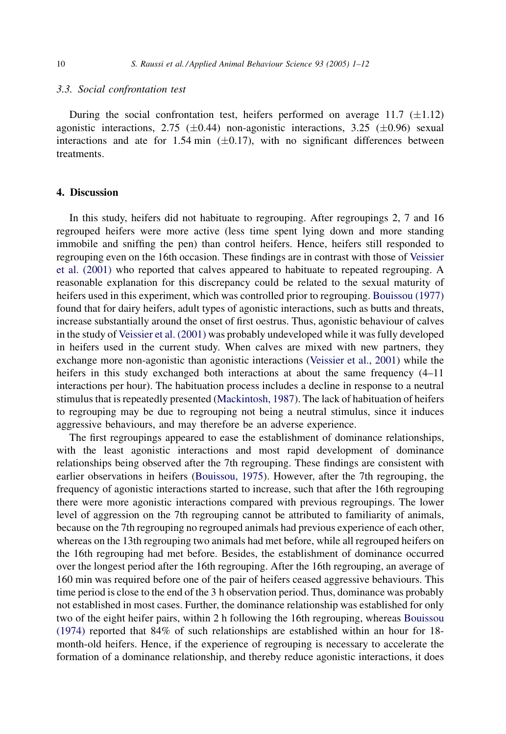#### 3.3. Social confrontation test

During the social confrontation test, heifers performed on average 11.7  $(\pm 1.12)$ agonistic interactions, 2.75 ( $\pm$ 0.44) non-agonistic interactions, 3.25 ( $\pm$ 0.96) sexual interactions and ate for 1.54 min  $(\pm 0.17)$ , with no significant differences between treatments.

## 4. Discussion

In this study, heifers did not habituate to regrouping. After regroupings 2, 7 and 16 regrouped heifers were more active (less time spent lying down and more standing immobile and sniffing the pen) than control heifers. Hence, heifers still responded to regrouping even on the 16th occasion. These findings are in contrast with those of [Veissier](#page-11-0) [et al. \(2001\)](#page-11-0) who reported that calves appeared to habituate to repeated regrouping. A reasonable explanation for this discrepancy could be related to the sexual maturity of heifers used in this experiment, which was controlled prior to regrouping. [Bouissou \(1977\)](#page-11-0) found that for dairy heifers, adult types of agonistic interactions, such as butts and threats, increase substantially around the onset of first oestrus. Thus, agonistic behaviour of calves in the study of [Veissier et al. \(2001\)](#page-11-0) was probably undeveloped while it was fully developed in heifers used in the current study. When calves are mixed with new partners, they exchange more non-agonistic than agonistic interactions ([Veissier et al., 2001](#page-11-0)) while the heifers in this study exchanged both interactions at about the same frequency  $(4-11)$ interactions per hour). The habituation process includes a decline in response to a neutral stimulus that is repeatedly presented ([Mackintosh, 1987](#page-11-0)). The lack of habituation of heifers to regrouping may be due to regrouping not being a neutral stimulus, since it induces aggressive behaviours, and may therefore be an adverse experience.

The first regroupings appeared to ease the establishment of dominance relationships, with the least agonistic interactions and most rapid development of dominance relationships being observed after the 7th regrouping. These findings are consistent with earlier observations in heifers ([Bouissou, 1975\)](#page-11-0). However, after the 7th regrouping, the frequency of agonistic interactions started to increase, such that after the 16th regrouping there were more agonistic interactions compared with previous regroupings. The lower level of aggression on the 7th regrouping cannot be attributed to familiarity of animals, because on the 7th regrouping no regrouped animals had previous experience of each other, whereas on the 13th regrouping two animals had met before, while all regrouped heifers on the 16th regrouping had met before. Besides, the establishment of dominance occurred over the longest period after the 16th regrouping. After the 16th regrouping, an average of 160 min was required before one of the pair of heifers ceased aggressive behaviours. This time period is close to the end of the 3 h observation period. Thus, dominance was probably not established in most cases. Further, the dominance relationship was established for only two of the eight heifer pairs, within 2 h following the 16th regrouping, whereas [Bouissou](#page-11-0) [\(1974\)](#page-11-0) reported that 84% of such relationships are established within an hour for 18 month-old heifers. Hence, if the experience of regrouping is necessary to accelerate the formation of a dominance relationship, and thereby reduce agonistic interactions, it does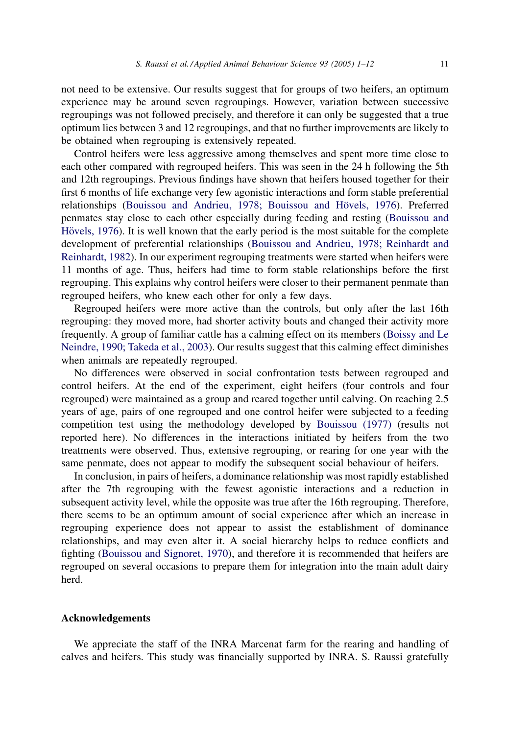not need to be extensive. Our results suggest that for groups of two heifers, an optimum experience may be around seven regroupings. However, variation between successive regroupings was not followed precisely, and therefore it can only be suggested that a true optimum lies between 3 and 12 regroupings, and that no further improvements are likely to be obtained when regrouping is extensively repeated.

Control heifers were less aggressive among themselves and spent more time close to each other compared with regrouped heifers. This was seen in the 24 h following the 5th and 12th regroupings. Previous findings have shown that heifers housed together for their first 6 months of life exchange very few agonistic interactions and form stable preferential relationships (Bouissou and Andrieu, 1978; Bouissou and Hövels, 1976). Preferred penmates stay close to each other especially during feeding and resting [\(Bouissou and](#page-11-0) Hövels, 1976). It is well known that the early period is the most suitable for the complete development of preferential relationships ([Bouissou and Andrieu, 1978; Reinhardt and](#page-11-0) [Reinhardt, 1982\)](#page-11-0). In our experiment regrouping treatments were started when heifers were 11 months of age. Thus, heifers had time to form stable relationships before the first regrouping. This explains why control heifers were closer to their permanent penmate than regrouped heifers, who knew each other for only a few days.

Regrouped heifers were more active than the controls, but only after the last 16th regrouping: they moved more, had shorter activity bouts and changed their activity more frequently. A group of familiar cattle has a calming effect on its members ([Boissy and Le](#page-11-0) [Neindre, 1990; Takeda et al., 2003](#page-11-0)). Our results suggest that this calming effect diminishes when animals are repeatedly regrouped.

No differences were observed in social confrontation tests between regrouped and control heifers. At the end of the experiment, eight heifers (four controls and four regrouped) were maintained as a group and reared together until calving. On reaching 2.5 years of age, pairs of one regrouped and one control heifer were subjected to a feeding competition test using the methodology developed by [Bouissou \(1977\)](#page-11-0) (results not reported here). No differences in the interactions initiated by heifers from the two treatments were observed. Thus, extensive regrouping, or rearing for one year with the same penmate, does not appear to modify the subsequent social behaviour of heifers.

In conclusion, in pairs of heifers, a dominance relationship was most rapidly established after the 7th regrouping with the fewest agonistic interactions and a reduction in subsequent activity level, while the opposite was true after the 16th regrouping. Therefore, there seems to be an optimum amount of social experience after which an increase in regrouping experience does not appear to assist the establishment of dominance relationships, and may even alter it. A social hierarchy helps to reduce conflicts and fighting [\(Bouissou and Signoret, 1970](#page-11-0)), and therefore it is recommended that heifers are regrouped on several occasions to prepare them for integration into the main adult dairy herd.

#### Acknowledgements

We appreciate the staff of the INRA Marcenat farm for the rearing and handling of calves and heifers. This study was financially supported by INRA. S. Raussi gratefully